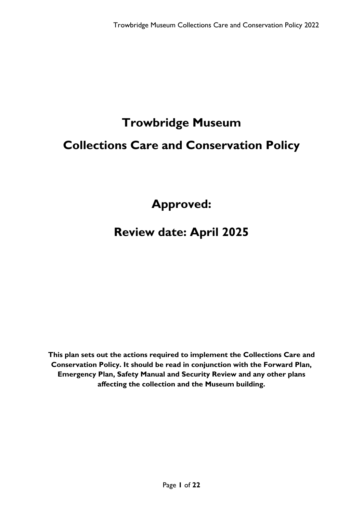# **Trowbridge Museum Collections Care and Conservation Policy**

**Approved:** 

# **Review date: April 2025**

**This plan sets out the actions required to implement the Collections Care and Conservation Policy. It should be read in conjunction with the Forward Plan, Emergency Plan, Safety Manual and Security Review and any other plans affecting the collection and the Museum building.**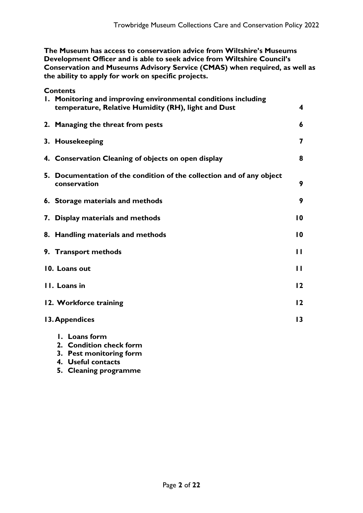**The Museum has access to conservation advice from Wiltshire's Museums Development Officer and is able to seek advice from Wiltshire Council's Conservation and Museums Advisory Service (CMAS) when required, as well as the ability to apply for work on specific projects.**

**Contents**

| 1. Monitoring and improving environmental conditions including<br>temperature, Relative Humidity (RH), light and Dust | 4                       |
|-----------------------------------------------------------------------------------------------------------------------|-------------------------|
| 2. Managing the threat from pests                                                                                     | 6                       |
| 3. Housekeeping                                                                                                       | $\overline{\mathbf{z}}$ |
| 4. Conservation Cleaning of objects on open display                                                                   | 8                       |
| 5. Documentation of the condition of the collection and of any object<br>conservation                                 | 9                       |
| 6. Storage materials and methods                                                                                      | 9                       |
| 7. Display materials and methods                                                                                      | $\overline{10}$         |
| 8. Handling materials and methods                                                                                     | $\overline{10}$         |
| 9. Transport methods                                                                                                  | $\mathbf{H}$            |
| 10. Loans out                                                                                                         | П                       |
| II. Loans in                                                                                                          | 12                      |
| 12. Workforce training                                                                                                | 12                      |
| 13. Appendices                                                                                                        | 13                      |
| I. Loans form                                                                                                         |                         |

- **2. Condition check form**
- **3. Pest monitoring form**
- **4. Useful contacts**
- **5. Cleaning programme**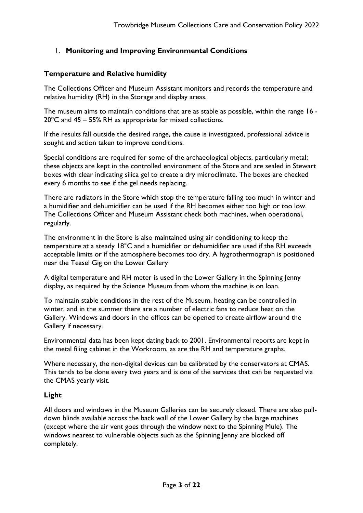# 1. **Monitoring and Improving Environmental Conditions**

#### **Temperature and Relative humidity**

The Collections Officer and Museum Assistant monitors and records the temperature and relative humidity (RH) in the Storage and display areas.

The museum aims to maintain conditions that are as stable as possible, within the range 16 - 20ºC and 45 – 55% RH as appropriate for mixed collections.

If the results fall outside the desired range, the cause is investigated, professional advice is sought and action taken to improve conditions.

Special conditions are required for some of the archaeological objects, particularly metal; these objects are kept in the controlled environment of the Store and are sealed in Stewart boxes with clear indicating silica gel to create a dry microclimate. The boxes are checked every 6 months to see if the gel needs replacing.

There are radiators in the Store which stop the temperature falling too much in winter and a humidifier and dehumidifier can be used if the RH becomes either too high or too low. The Collections Officer and Museum Assistant check both machines, when operational, regularly.

The environment in the Store is also maintained using air conditioning to keep the temperature at a steady 18°C and a humidifier or dehumidifier are used if the RH exceeds acceptable limits or if the atmosphere becomes too dry. A hygrothermograph is positioned near the Teasel Gig on the Lower Gallery

A digital temperature and RH meter is used in the Lower Gallery in the Spinning Jenny display, as required by the Science Museum from whom the machine is on loan.

To maintain stable conditions in the rest of the Museum, heating can be controlled in winter, and in the summer there are a number of electric fans to reduce heat on the Gallery. Windows and doors in the offices can be opened to create airflow around the Gallery if necessary.

Environmental data has been kept dating back to 2001. Environmental reports are kept in the metal filing cabinet in the Workroom, as are the RH and temperature graphs.

Where necessary, the non-digital devices can be calibrated by the conservators at CMAS. This tends to be done every two years and is one of the services that can be requested via the CMAS yearly visit.

# **Light**

All doors and windows in the Museum Galleries can be securely closed. There are also pulldown blinds available across the back wall of the Lower Gallery by the large machines (except where the air vent goes through the window next to the Spinning Mule). The windows nearest to vulnerable objects such as the Spinning Jenny are blocked off completely.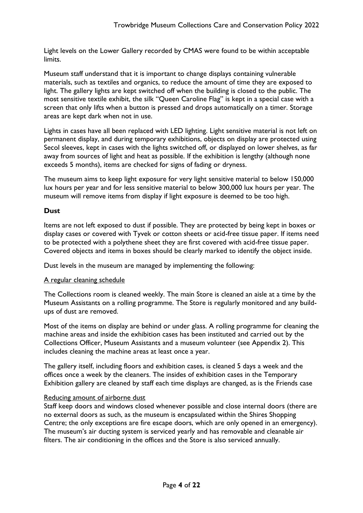Light levels on the Lower Gallery recorded by CMAS were found to be within acceptable limits.

Museum staff understand that it is important to change displays containing vulnerable materials, such as textiles and organics, to reduce the amount of time they are exposed to light. The gallery lights are kept switched off when the building is closed to the public. The most sensitive textile exhibit, the silk "Queen Caroline Flag" is kept in a special case with a screen that only lifts when a button is pressed and drops automatically on a timer. Storage areas are kept dark when not in use.

Lights in cases have all been replaced with LED lighting. Light sensitive material is not left on permanent display, and during temporary exhibitions, objects on display are protected using Secol sleeves, kept in cases with the lights switched off, or displayed on lower shelves, as far away from sources of light and heat as possible. If the exhibition is lengthy (although none exceeds 5 months), items are checked for signs of fading or dryness.

The museum aims to keep light exposure for very light sensitive material to below 150,000 lux hours per year and for less sensitive material to below 300,000 lux hours per year. The museum will remove items from display if light exposure is deemed to be too high.

#### **Dust**

Items are not left exposed to dust if possible. They are protected by being kept in boxes or display cases or covered with Tyvek or cotton sheets or acid-free tissue paper. If items need to be protected with a polythene sheet they are first covered with acid-free tissue paper. Covered objects and items in boxes should be clearly marked to identify the object inside.

Dust levels in the museum are managed by implementing the following:

#### A regular cleaning schedule

The Collections room is cleaned weekly. The main Store is cleaned an aisle at a time by the Museum Assistants on a rolling programme. The Store is regularly monitored and any buildups of dust are removed.

Most of the items on display are behind or under glass. A rolling programme for cleaning the machine areas and inside the exhibition cases has been instituted and carried out by the Collections Officer, Museum Assistants and a museum volunteer (see Appendix 2). This includes cleaning the machine areas at least once a year.

The gallery itself, including floors and exhibition cases, is cleaned 5 days a week and the offices once a week by the cleaners. The insides of exhibition cases in the Temporary Exhibition gallery are cleaned by staff each time displays are changed, as is the Friends case

# Reducing amount of airborne dust

Staff keep doors and windows closed whenever possible and close internal doors (there are no external doors as such, as the museum is encapsulated within the Shires Shopping Centre; the only exceptions are fire escape doors, which are only opened in an emergency). The museum's air ducting system is serviced yearly and has removable and cleanable air filters. The air conditioning in the offices and the Store is also serviced annually.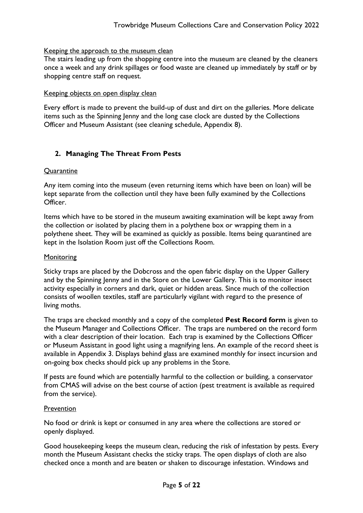#### Keeping the approach to the museum clean

The stairs leading up from the shopping centre into the museum are cleaned by the cleaners once a week and any drink spillages or food waste are cleaned up immediately by staff or by shopping centre staff on request.

#### Keeping objects on open display clean

Every effort is made to prevent the build-up of dust and dirt on the galleries. More delicate items such as the Spinning Jenny and the long case clock are dusted by the Collections Officer and Museum Assistant (see cleaning schedule, Appendix 8).

# **2. Managing The Threat From Pests**

#### **Ouarantine**

Any item coming into the museum (even returning items which have been on loan) will be kept separate from the collection until they have been fully examined by the Collections Officer.

Items which have to be stored in the museum awaiting examination will be kept away from the collection or isolated by placing them in a polythene box or wrapping them in a polythene sheet. They will be examined as quickly as possible. Items being quarantined are kept in the Isolation Room just off the Collections Room.

#### **Monitoring**

Sticky traps are placed by the Dobcross and the open fabric display on the Upper Gallery and by the Spinning Jenny and in the Store on the Lower Gallery. This is to monitor insect activity especially in corners and dark, quiet or hidden areas. Since much of the collection consists of woollen textiles, staff are particularly vigilant with regard to the presence of living moths.

The traps are checked monthly and a copy of the completed **Pest Record form** is given to the Museum Manager and Collections Officer. The traps are numbered on the record form with a clear description of their location. Each trap is examined by the Collections Officer or Museum Assistant in good light using a magnifying lens. An example of the record sheet is available in Appendix 3. Displays behind glass are examined monthly for insect incursion and on-going box checks should pick up any problems in the Store.

If pests are found which are potentially harmful to the collection or building, a conservator from CMAS will advise on the best course of action (pest treatment is available as required from the service).

#### **Prevention**

No food or drink is kept or consumed in any area where the collections are stored or openly displayed.

Good housekeeping keeps the museum clean, reducing the risk of infestation by pests. Every month the Museum Assistant checks the sticky traps. The open displays of cloth are also checked once a month and are beaten or shaken to discourage infestation. Windows and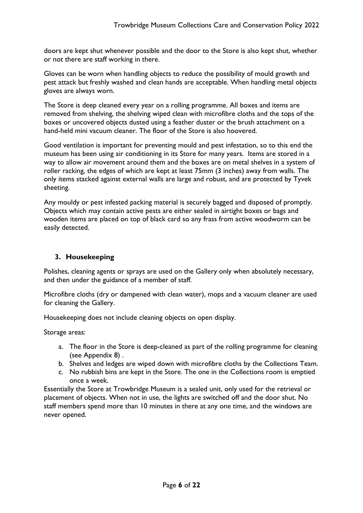doors are kept shut whenever possible and the door to the Store is also kept shut, whether or not there are staff working in there.

Gloves can be worn when handling objects to reduce the possibility of mould growth and pest attack but freshly washed and clean hands are acceptable. When handling metal objects gloves are always worn.

The Store is deep cleaned every year on a rolling programme. All boxes and items are removed from shelving, the shelving wiped clean with microfibre cloths and the tops of the boxes or uncovered objects dusted using a feather duster or the brush attachment on a hand-held mini vacuum cleaner. The floor of the Store is also hoovered.

Good ventilation is important for preventing mould and pest infestation, so to this end the museum has been using air conditioning in its Store for many years. Items are stored in a way to allow air movement around them and the boxes are on metal shelves in a system of roller racking, the edges of which are kept at least 75mm (3 inches) away from walls. The only items stacked against external walls are large and robust, and are protected by Tyvek sheeting.

Any mouldy or pest infested packing material is securely bagged and disposed of promptly. Objects which may contain active pests are either sealed in airtight boxes or bags and wooden items are placed on top of black card so any frass from active woodworm can be easily detected.

# **3. Housekeeping**

Polishes, cleaning agents or sprays are used on the Gallery only when absolutely necessary, and then under the guidance of a member of staff.

Microfibre cloths (dry or dampened with clean water), mops and a vacuum cleaner are used for cleaning the Gallery.

Housekeeping does not include cleaning objects on open display.

Storage areas:

- a. The floor in the Store is deep-cleaned as part of the rolling programme for cleaning (see Appendix 8) .
- b. Shelves and ledges are wiped down with microfibre cloths by the Collections Team.
- c. No rubbish bins are kept in the Store. The one in the Collections room is emptied once a week.

Essentially the Store at Trowbridge Museum is a sealed unit, only used for the retrieval or placement of objects. When not in use, the lights are switched off and the door shut. No staff members spend more than 10 minutes in there at any one time, and the windows are never opened.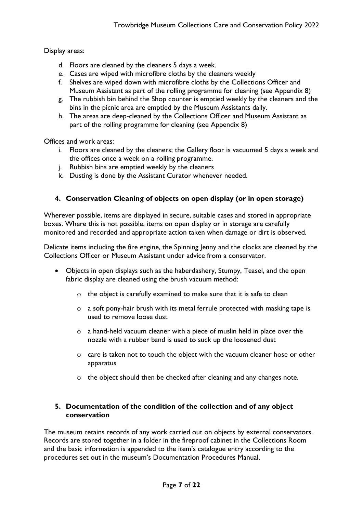Display areas:

- d. Floors are cleaned by the cleaners 5 days a week.
- e. Cases are wiped with microfibre cloths by the cleaners weekly
- f. Shelves are wiped down with microfibre cloths by the Collections Officer and Museum Assistant as part of the rolling programme for cleaning (see Appendix 8)
- g. The rubbish bin behind the Shop counter is emptied weekly by the cleaners and the bins in the picnic area are emptied by the Museum Assistants daily.
- h. The areas are deep-cleaned by the Collections Officer and Museum Assistant as part of the rolling programme for cleaning (see Appendix 8)

Offices and work areas:

- i. Floors are cleaned by the cleaners; the Gallery floor is vacuumed 5 days a week and the offices once a week on a rolling programme.
- j. Rubbish bins are emptied weekly by the cleaners
- k. Dusting is done by the Assistant Curator whenever needed.

# **4. Conservation Cleaning of objects on open display (or in open storage)**

Wherever possible, items are displayed in secure, suitable cases and stored in appropriate boxes. Where this is not possible, items on open display or in storage are carefully monitored and recorded and appropriate action taken when damage or dirt is observed.

Delicate items including the fire engine, the Spinning Jenny and the clocks are cleaned by the Collections Officer or Museum Assistant under advice from a conservator.

- Objects in open displays such as the haberdashery, Stumpy, Teasel, and the open fabric display are cleaned using the brush vacuum method:
	- o the object is carefully examined to make sure that it is safe to clean
	- o a soft pony-hair brush with its metal ferrule protected with masking tape is used to remove loose dust
	- $\circ$  a hand-held vacuum cleaner with a piece of muslin held in place over the nozzle with a rubber band is used to suck up the loosened dust
	- o care is taken not to touch the object with the vacuum cleaner hose or other apparatus
	- o the object should then be checked after cleaning and any changes note.

# **5. Documentation of the condition of the collection and of any object conservation**

The museum retains records of any work carried out on objects by external conservators. Records are stored together in a folder in the fireproof cabinet in the Collections Room and the basic information is appended to the item's catalogue entry according to the procedures set out in the museum's Documentation Procedures Manual.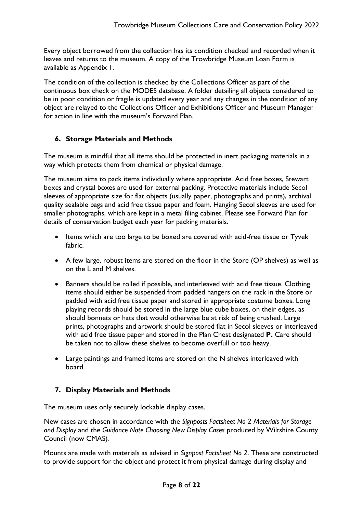Every object borrowed from the collection has its condition checked and recorded when it leaves and returns to the museum. A copy of the Trowbridge Museum Loan Form is available as Appendix 1.

The condition of the collection is checked by the Collections Officer as part of the continuous box check on the MODES database. A folder detailing all objects considered to be in poor condition or fragile is updated every year and any changes in the condition of any object are relayed to the Collections Officer and Exhibitions Officer and Museum Manager for action in line with the museum's Forward Plan.

# **6. Storage Materials and Methods**

The museum is mindful that all items should be protected in inert packaging materials in a way which protects them from chemical or physical damage.

The museum aims to pack items individually where appropriate. Acid free boxes, Stewart boxes and crystal boxes are used for external packing. Protective materials include Secol sleeves of appropriate size for flat objects (usually paper, photographs and prints), archival quality sealable bags and acid free tissue paper and foam. Hanging Secol sleeves are used for smaller photographs, which are kept in a metal filing cabinet. Please see Forward Plan for details of conservation budget each year for packing materials.

- Items which are too large to be boxed are covered with acid-free tissue or Tyvek fabric.
- A few large, robust items are stored on the floor in the Store (OP shelves) as well as on the L and M shelves.
- Banners should be rolled if possible, and interleaved with acid free tissue. Clothing items should either be suspended from padded hangers on the rack in the Store or padded with acid free tissue paper and stored in appropriate costume boxes. Long playing records should be stored in the large blue cube boxes, on their edges, as should bonnets or hats that would otherwise be at risk of being crushed. Large prints, photographs and artwork should be stored flat in Secol sleeves or interleaved with acid free tissue paper and stored in the Plan Chest designated **P.** Care should be taken not to allow these shelves to become overfull or too heavy.
- Large paintings and framed items are stored on the N shelves interleaved with board.

# **7. Display Materials and Methods**

The museum uses only securely lockable display cases.

New cases are chosen in accordance with the *Signposts Factsheet No 2 Materials for Storage and Display* and the *Guidance Note Choosing New Display Cases* produced by Wiltshire County Council (now CMAS)*.*

Mounts are made with materials as advised in *Signpost Factsheet No 2*. These are constructed to provide support for the object and protect it from physical damage during display and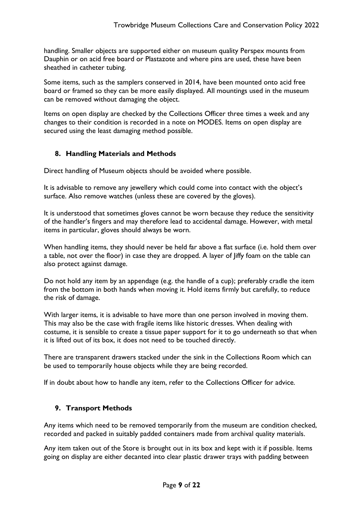handling. Smaller objects are supported either on museum quality Perspex mounts from Dauphin or on acid free board or Plastazote and where pins are used, these have been sheathed in catheter tubing.

Some items, such as the samplers conserved in 2014, have been mounted onto acid free board or framed so they can be more easily displayed. All mountings used in the museum can be removed without damaging the object.

Items on open display are checked by the Collections Officer three times a week and any changes to their condition is recorded in a note on MODES. Items on open display are secured using the least damaging method possible.

# **8. Handling Materials and Methods**

Direct handling of Museum objects should be avoided where possible.

It is advisable to remove any jewellery which could come into contact with the object's surface. Also remove watches (unless these are covered by the gloves).

It is understood that sometimes gloves cannot be worn because they reduce the sensitivity of the handler's fingers and may therefore lead to accidental damage. However, with metal items in particular, gloves should always be worn.

When handling items, they should never be held far above a flat surface (i.e. hold them over a table, not over the floor) in case they are dropped. A layer of Jiffy foam on the table can also protect against damage.

Do not hold any item by an appendage (e.g. the handle of a cup); preferably cradle the item from the bottom in both hands when moving it. Hold items firmly but carefully, to reduce the risk of damage.

With larger items, it is advisable to have more than one person involved in moving them. This may also be the case with fragile items like historic dresses. When dealing with costume, it is sensible to create a tissue paper support for it to go underneath so that when it is lifted out of its box, it does not need to be touched directly.

There are transparent drawers stacked under the sink in the Collections Room which can be used to temporarily house objects while they are being recorded.

If in doubt about how to handle any item, refer to the Collections Officer for advice.

# **9. Transport Methods**

Any items which need to be removed temporarily from the museum are condition checked, recorded and packed in suitably padded containers made from archival quality materials.

Any item taken out of the Store is brought out in its box and kept with it if possible. Items going on display are either decanted into clear plastic drawer trays with padding between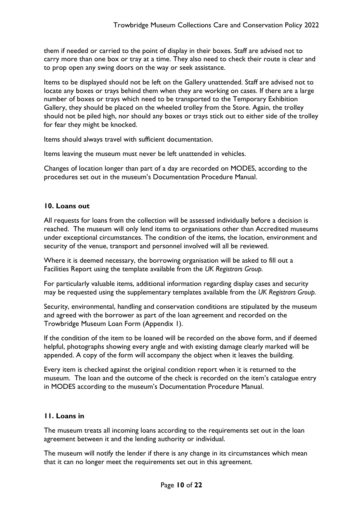them if needed or carried to the point of display in their boxes. Staff are advised not to carry more than one box or tray at a time. They also need to check their route is clear and to prop open any swing doors on the way or seek assistance.

Items to be displayed should not be left on the Gallery unattended. Staff are advised not to locate any boxes or trays behind them when they are working on cases. If there are a large number of boxes or trays which need to be transported to the Temporary Exhibition Gallery, they should be placed on the wheeled trolley from the Store. Again, the trolley should not be piled high, nor should any boxes or trays stick out to either side of the trolley for fear they might be knocked.

Items should always travel with sufficient documentation.

Items leaving the museum must never be left unattended in vehicles.

Changes of location longer than part of a day are recorded on MODES, according to the procedures set out in the museum's Documentation Procedure Manual.

# **10. Loans out**

All requests for loans from the collection will be assessed individually before a decision is reached. The museum will only lend items to organisations other than Accredited museums under exceptional circumstances. The condition of the items, the location, environment and security of the venue, transport and personnel involved will all be reviewed.

Where it is deemed necessary, the borrowing organisation will be asked to fill out a Facilities Report using the template available from the *UK Registrars Group.*

For particularly valuable items, additional information regarding display cases and security may be requested using the supplementary templates available from the *UK Registrars Group.*

Security, environmental, handling and conservation conditions are stipulated by the museum and agreed with the borrower as part of the loan agreement and recorded on the Trowbridge Museum Loan Form (Appendix 1).

If the condition of the item to be loaned will be recorded on the above form, and if deemed helpful, photographs showing every angle and with existing damage clearly marked will be appended. A copy of the form will accompany the object when it leaves the building.

Every item is checked against the original condition report when it is returned to the museum. The loan and the outcome of the check is recorded on the item's catalogue entry in MODES according to the museum's Documentation Procedure Manual.

# **11. Loans in**

The museum treats all incoming loans according to the requirements set out in the loan agreement between it and the lending authority or individual.

The museum will notify the lender if there is any change in its circumstances which mean that it can no longer meet the requirements set out in this agreement.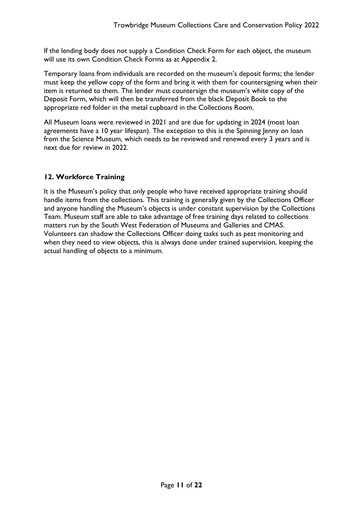If the lending body does not supply a Condition Check Form for each object, the museum will use its own Condition Check Forms as at Appendix 2.

Temporary loans from individuals are recorded on the museum's deposit forms; the lender must keep the yellow copy of the form and bring it with them for countersigning when their item is returned to them. The lender must countersign the museum's white copy of the Deposit Form, which will then be transferred from the black Deposit Book to the appropriate red folder in the metal cupboard in the Collections Room.

All Museum loans were reviewed in 2021 and are due for updating in 2024 (most loan agreements have a 10 year lifespan). The exception to this is the Spinning Jenny on loan from the Science Museum, which needs to be reviewed and renewed every 3 years and is next due for review in 2022.

# **12. Workforce Training**

It is the Museum's policy that only people who have received appropriate training should handle items from the collections. This training is generally given by the Collections Officer and anyone handling the Museum's objects is under constant supervision by the Collections Team. Museum staff are able to take advantage of free training days related to collections matters run by the South West Federation of Museums and Galleries and CMAS. Volunteers can shadow the Collections Officer doing tasks such as pest monitoring and when they need to view objects, this is always done under trained supervision, keeping the actual handling of objects to a minimum.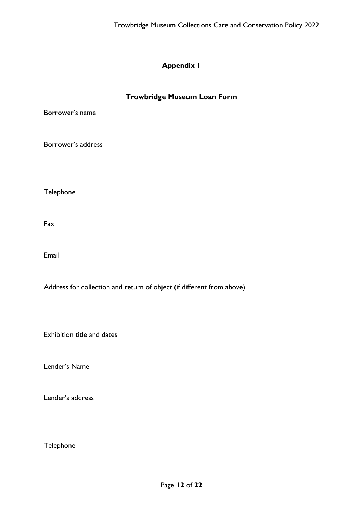#### **Trowbridge Museum Loan Form**

Borrower's name

Borrower's address

Telephone

Fax

Email

Address for collection and return of object (if different from above)

Exhibition title and dates

Lender's Name

Lender's address

Telephone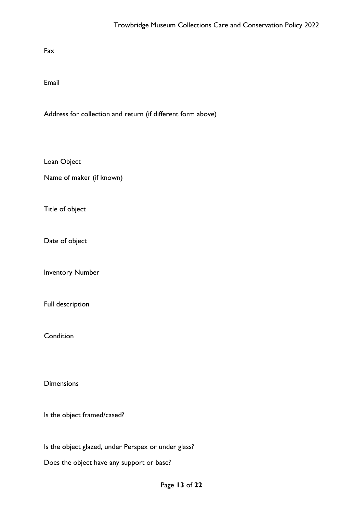Fax

Email

Address for collection and return (if different form above)

Loan Object

Name of maker (if known)

Title of object

Date of object

Inventory Number

Full description

**Condition** 

**Dimensions** 

Is the object framed/cased?

Is the object glazed, under Perspex or under glass?

Does the object have any support or base?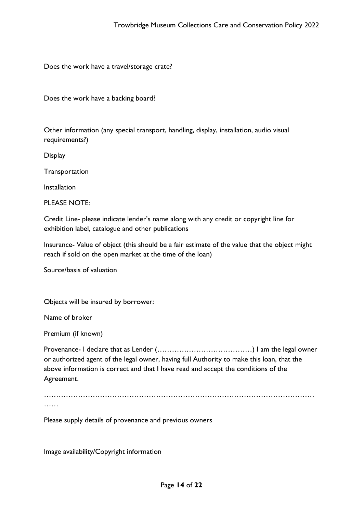Does the work have a travel/storage crate?

Does the work have a backing board?

Other information (any special transport, handling, display, installation, audio visual requirements?)

**Display** 

**Transportation** 

Installation

PLEASE NOTE:

Credit Line- please indicate lender's name along with any credit or copyright line for exhibition label, catalogue and other publications

Insurance- Value of object (this should be a fair estimate of the value that the object might reach if sold on the open market at the time of the loan)

Source/basis of valuation

Objects will be insured by borrower:

Name of broker

Premium (if known)

Provenance- I declare that as Lender (…………………………………) I am the legal owner or authorized agent of the legal owner, having full Authority to make this loan, that the above information is correct and that I have read and accept the conditions of the Agreement.

………………………………………………………………………………………………… ……

Please supply details of provenance and previous owners

Image availability/Copyright information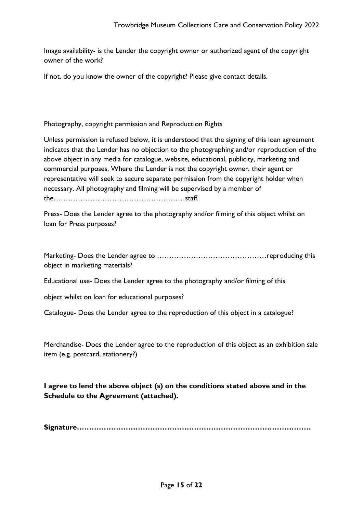Image availability- is the Lender the copyright owner or authorized agent of the copyright owner of the work?

If not, do you know the owner of the copyright? Please give contact details.

Photography, copyright permission and Reproduction Rights

Unless permission is refused below, it is understood that the signing of this loan agreement indicates that the Lender has no objection to the photographing and/or reproduction of the above object in any media for catalogue, website, educational, publicity, marketing and commercial purposes. Where the Lender is not the copyright owner, their agent or representative will seek to secure separate permission from the copyright holder when necessary. All photography and filming will be supervised by a member of the………………………………………………staff.

Press- Does the Lender agree to the photography and/or filming of this object whilst on loan for Press purposes?

| object in marketing materials? |  |
|--------------------------------|--|

Educational use- Does the Lender agree to the photography and/or filming of this

object whilst on loan for educational purposes?

Catalogue- Does the Lender agree to the reproduction of this object in a catalogue?

Merchandise- Does the Lender agree to the reproduction of this object as an exhibition sale item (e.g. postcard, stationery?)

**I agree to lend the above object (s) on the conditions stated above and in the Schedule to the Agreement (attached).**

**Signature……………………………………………………………………………………**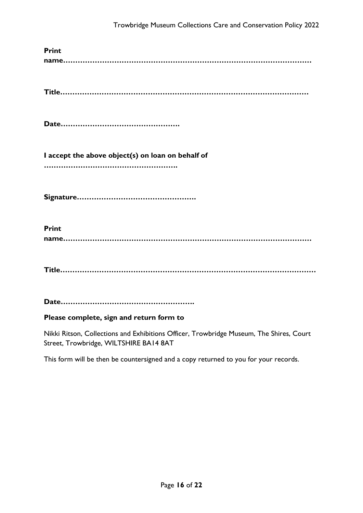| <b>Print</b>                                      |
|---------------------------------------------------|
|                                                   |
|                                                   |
| I accept the above object(s) on loan on behalf of |
|                                                   |
| <b>Print</b>                                      |
|                                                   |
|                                                   |

# **Please complete, sign and return form to**

Nikki Ritson, Collections and Exhibitions Officer, Trowbridge Museum, The Shires, Court Street, Trowbridge, WILTSHIRE BA14 8AT

This form will be then be countersigned and a copy returned to you for your records.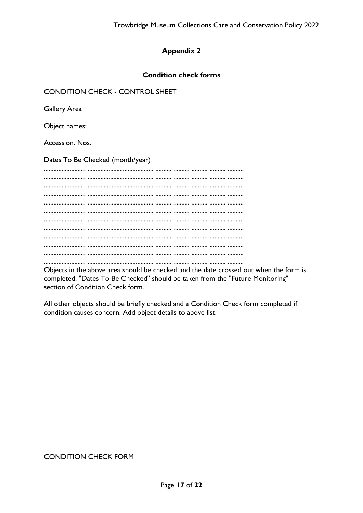# **Condition check forms**

# **CONDITION CHECK - CONTROL SHEET**

**Gallery Area** 

Object names:

Accession, Nos.

Dates To Be Checked (month/year)

Objects in the above area should be checked and the date crossed out when the form is completed. "Dates To Be Checked" should be taken from the "Future Monitoring" section of Condition Check form.

All other objects should be briefly checked and a Condition Check form completed if condition causes concern. Add object details to above list.

# **CONDITION CHECK FORM**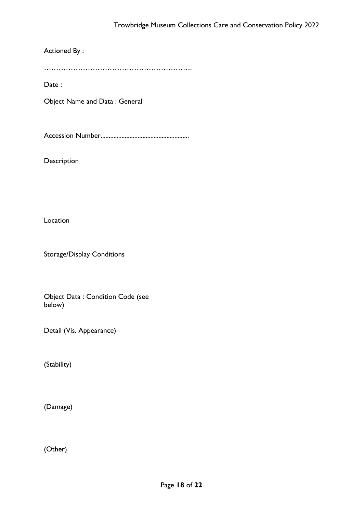Actioned By :

…………………………………………………….

Date :

Object Name and Data : General

Accession Number.......................................................

Description

Location

Storage/Display Conditions

Object Data : Condition Code (see below)

Detail (Vis. Appearance)

(Stability)

(Damage)

(Other)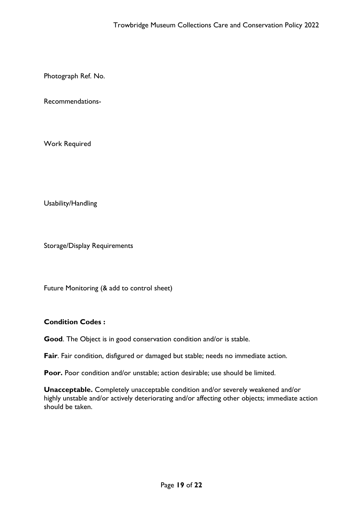Photograph Ref. No.

Recommendations-

Work Required

Usability/Handling

Storage/Display Requirements

Future Monitoring (& add to control sheet)

# **Condition Codes :**

**Good**. The Object is in good conservation condition and/or is stable.

**Fair**. Fair condition, disfigured or damaged but stable; needs no immediate action.

**Poor.** Poor condition and/or unstable; action desirable; use should be limited.

**Unacceptable.** Completely unacceptable condition and/or severely weakened and/or highly unstable and/or actively deteriorating and/or affecting other objects; immediate action should be taken.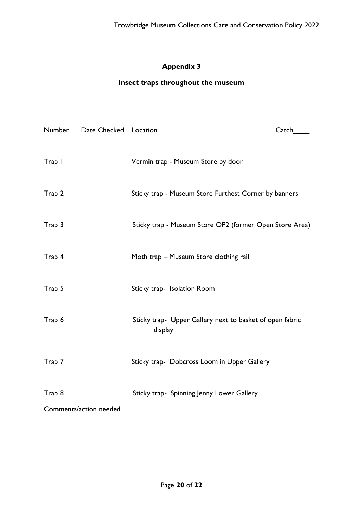# **Insect traps throughout the museum**

| <b>Number</b> | Date Checked Location  |                                                                     | <b>Catch</b> |
|---------------|------------------------|---------------------------------------------------------------------|--------------|
| Trap I        |                        | Vermin trap - Museum Store by door                                  |              |
| Trap 2        |                        | Sticky trap - Museum Store Furthest Corner by banners               |              |
| Trap 3        |                        | Sticky trap - Museum Store OP2 (former Open Store Area)             |              |
| Trap 4        |                        | Moth trap - Museum Store clothing rail                              |              |
| Trap 5        |                        | Sticky trap- Isolation Room                                         |              |
| Trap 6        |                        | Sticky trap- Upper Gallery next to basket of open fabric<br>display |              |
| Trap 7        |                        | Sticky trap- Dobcross Loom in Upper Gallery                         |              |
| Trap 8        | Comments/action needed | Sticky trap- Spinning Jenny Lower Gallery                           |              |
|               |                        |                                                                     |              |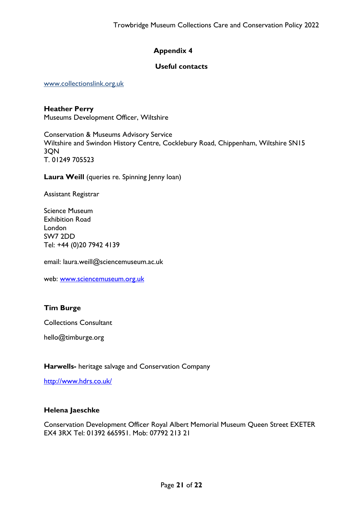# **Useful contacts**

[www.collectionslink.org.uk](http://www.collectionslink.org.uk/)

**Heather Perry** Museums Development Officer, Wiltshire

Conservation & Museums Advisory Service Wiltshire and Swindon History Centre, Cocklebury Road, Chippenham, Wiltshire SN15 3QN T. 01249 705523

Laura Weill (queries re. Spinning Jenny loan)

Assistant Registrar

Science Museum Exhibition Road London SW7 2DD Tel: +44 (0)20 7942 4139

email: laura.weill@sciencemuseum.ac.uk

web: [www.sciencemuseum.org.uk](http://www.sciencemuseum.org.uk/)

# **Tim Burge**

Collections Consultant

hello@timburge.org

#### **Harwells-** heritage salvage and Conservation Company

<http://www.hdrs.co.uk/>

#### **Helena Jaeschke**

Conservation Development Officer Royal Albert Memorial Museum Queen Street EXETER EX4 3RX Tel: 01392 665951. Mob: 07792 213 21